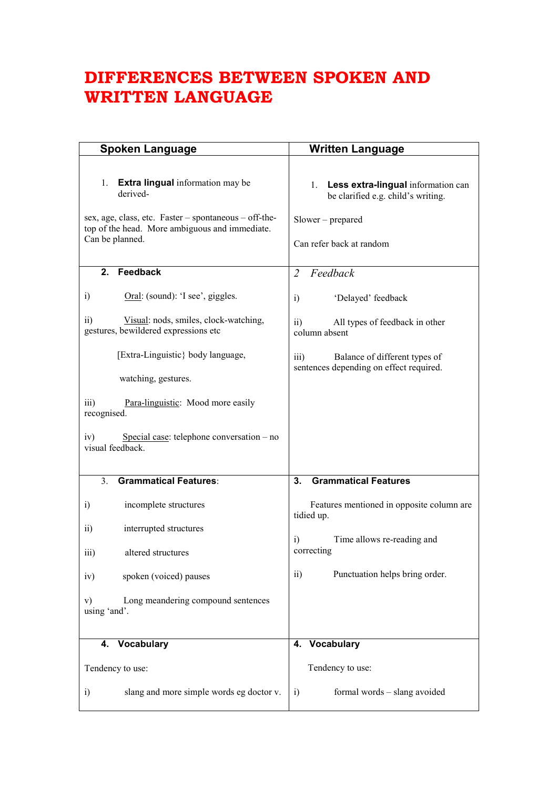## **DIFFERENCES BETWEEN SPOKEN AND WRITTEN LANGUAGE**

| <b>Spoken Language</b>                                                                                                                                                                  | <b>Written Language</b>                                                                                                      |  |
|-----------------------------------------------------------------------------------------------------------------------------------------------------------------------------------------|------------------------------------------------------------------------------------------------------------------------------|--|
| <b>Extra lingual</b> information may be<br>1.<br>derived-<br>sex, age, class, etc. Faster – spontaneous – off-the-<br>top of the head. More ambiguous and immediate.<br>Can be planned. | 1. Less extra-lingual information can<br>be clarified e.g. child's writing.<br>$Slower-prepared$<br>Can refer back at random |  |
| Feedback<br>$2_{-}$                                                                                                                                                                     | Feedback<br>$\mathcal{L}$                                                                                                    |  |
| Oral: (sound): 'I see', giggles.<br>i)                                                                                                                                                  | 'Delayed' feedback<br>i)                                                                                                     |  |
| $\overline{11}$<br>Visual: nods, smiles, clock-watching,<br>gestures, bewildered expressions etc                                                                                        | $\overline{11}$<br>All types of feedback in other<br>column absent                                                           |  |
| [Extra-Linguistic} body language,                                                                                                                                                       | $\overline{iii}$<br>Balance of different types of<br>sentences depending on effect required.                                 |  |
| watching, gestures.                                                                                                                                                                     |                                                                                                                              |  |
| iii)<br>Para-linguistic: Mood more easily<br>recognised.                                                                                                                                |                                                                                                                              |  |
| iv)<br>Special case: telephone conversation – no<br>visual feedback.                                                                                                                    |                                                                                                                              |  |
| <b>Grammatical Features:</b><br>3 <sub>1</sub>                                                                                                                                          | <b>Grammatical Features</b><br>3.                                                                                            |  |
| incomplete structures<br>i)                                                                                                                                                             | Features mentioned in opposite column are<br>tidied up.                                                                      |  |
| $\overline{11}$<br>interrupted structures                                                                                                                                               |                                                                                                                              |  |
| iii)<br>altered structures                                                                                                                                                              | Time allows re-reading and<br>i)<br>correcting                                                                               |  |
| spoken (voiced) pauses<br>iv)                                                                                                                                                           | Punctuation helps bring order.<br>$\overline{ii}$                                                                            |  |
| Long meandering compound sentences<br>V)<br>using 'and'.                                                                                                                                |                                                                                                                              |  |
| Vocabulary<br>4.                                                                                                                                                                        | 4. Vocabulary                                                                                                                |  |
| Tendency to use:                                                                                                                                                                        | Tendency to use:                                                                                                             |  |
| slang and more simple words eg doctor v.<br>i)                                                                                                                                          | formal words - slang avoided<br>$\ddot{1}$                                                                                   |  |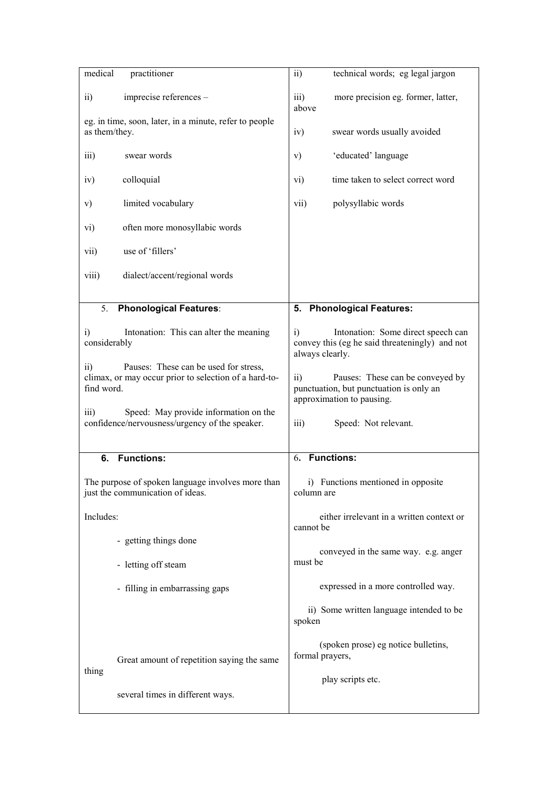| medical                                                                                                                                                                                                 | practitioner                                                                            | $\overline{ii}$                                                                                                             | technical words; eg legal jargon                                                     |
|---------------------------------------------------------------------------------------------------------------------------------------------------------------------------------------------------------|-----------------------------------------------------------------------------------------|-----------------------------------------------------------------------------------------------------------------------------|--------------------------------------------------------------------------------------|
| $\overline{ii}$                                                                                                                                                                                         | imprecise references -                                                                  | iii)<br>above                                                                                                               | more precision eg. former, latter,                                                   |
| eg. in time, soon, later, in a minute, refer to people<br>as them/they.                                                                                                                                 |                                                                                         | iv)                                                                                                                         | swear words usually avoided                                                          |
| iii)                                                                                                                                                                                                    | swear words                                                                             | V)                                                                                                                          | 'educated' language                                                                  |
| iv)                                                                                                                                                                                                     | colloquial                                                                              | vi)                                                                                                                         | time taken to select correct word                                                    |
| v)                                                                                                                                                                                                      | limited vocabulary                                                                      | polysyllabic words<br>vii)                                                                                                  |                                                                                      |
| vi)                                                                                                                                                                                                     | often more monosyllabic words                                                           |                                                                                                                             |                                                                                      |
| vii)                                                                                                                                                                                                    | use of 'fillers'                                                                        |                                                                                                                             |                                                                                      |
| viii)                                                                                                                                                                                                   | dialect/accent/regional words                                                           |                                                                                                                             |                                                                                      |
|                                                                                                                                                                                                         |                                                                                         |                                                                                                                             |                                                                                      |
| 5.                                                                                                                                                                                                      | <b>Phonological Features:</b>                                                           | 5. Phonological Features:                                                                                                   |                                                                                      |
| Intonation: This can alter the meaning<br>$\ddot{a}$<br>considerably<br>Pauses: These can be used for stress,<br>$\overline{ii}$<br>climax, or may occur prior to selection of a hard-to-<br>find word. |                                                                                         | $\ddot{1}$<br>always clearly.                                                                                               | Intonation: Some direct speech can<br>convey this (eg he said threateningly) and not |
|                                                                                                                                                                                                         |                                                                                         | $\overline{11}$<br>Pauses: These can be conveyed by<br>punctuation, but punctuation is only an<br>approximation to pausing. |                                                                                      |
| $\overline{\text{iii}}$                                                                                                                                                                                 | Speed: May provide information on the<br>confidence/nervousness/urgency of the speaker. | $\overline{\text{iii}}$                                                                                                     | Speed: Not relevant.                                                                 |
| <b>Functions:</b><br>6.                                                                                                                                                                                 |                                                                                         | <b>Functions:</b><br>6.                                                                                                     |                                                                                      |
|                                                                                                                                                                                                         | The purpose of spoken language involves more than<br>just the communication of ideas.   | i) Functions mentioned in opposite<br>column are                                                                            |                                                                                      |
| Includes:                                                                                                                                                                                               |                                                                                         | either irrelevant in a written context or<br>cannot be                                                                      |                                                                                      |
|                                                                                                                                                                                                         | - getting things done                                                                   | conveyed in the same way. e.g. anger<br>must be                                                                             |                                                                                      |
|                                                                                                                                                                                                         | - letting off steam                                                                     |                                                                                                                             |                                                                                      |
|                                                                                                                                                                                                         | - filling in embarrassing gaps                                                          |                                                                                                                             | expressed in a more controlled way.                                                  |
|                                                                                                                                                                                                         |                                                                                         | spoken                                                                                                                      | ii) Some written language intended to be                                             |
| thing                                                                                                                                                                                                   | Great amount of repetition saying the same                                              | formal prayers,                                                                                                             | (spoken prose) eg notice bulletins,                                                  |
|                                                                                                                                                                                                         |                                                                                         | play scripts etc.                                                                                                           |                                                                                      |
|                                                                                                                                                                                                         | several times in different ways.                                                        |                                                                                                                             |                                                                                      |